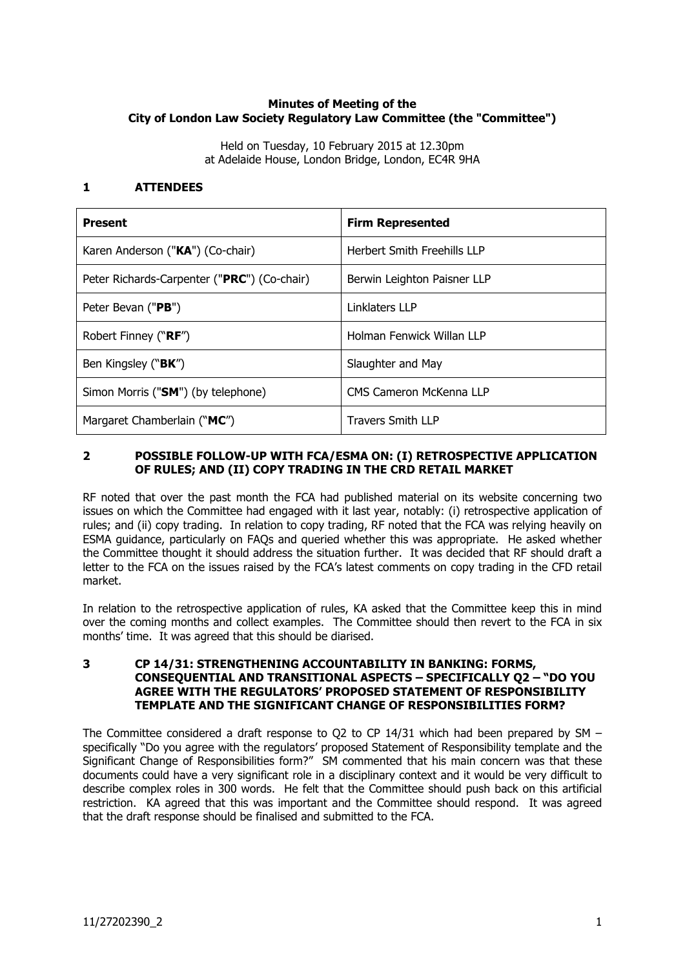# **Minutes of Meeting of the City of London Law Society Regulatory Law Committee (the "Committee")**

Held on Tuesday, 10 February 2015 at 12.30pm at Adelaide House, London Bridge, London, EC4R 9HA

## **1 ATTENDEES**

| <b>Present</b>                              | <b>Firm Represented</b>            |
|---------------------------------------------|------------------------------------|
| Karen Anderson ("KA") (Co-chair)            | <b>Herbert Smith Freehills LLP</b> |
| Peter Richards-Carpenter ("PRC") (Co-chair) | Berwin Leighton Paisner LLP        |
| Peter Bevan ("PB")                          | Linklaters LLP                     |
| Robert Finney (" <b>RF</b> ")               | Holman Fenwick Willan LLP          |
| Ben Kingsley (" <b>BK</b> ")                | Slaughter and May                  |
| Simon Morris ("SM") (by telephone)          | <b>CMS Cameron McKenna LLP</b>     |
| Margaret Chamberlain ("MC")                 | <b>Travers Smith LLP</b>           |

## **2 POSSIBLE FOLLOW-UP WITH FCA/ESMA ON: (I) RETROSPECTIVE APPLICATION OF RULES; AND (II) COPY TRADING IN THE CRD RETAIL MARKET**

RF noted that over the past month the FCA had published material on its website concerning two issues on which the Committee had engaged with it last year, notably: (i) retrospective application of rules; and (ii) copy trading. In relation to copy trading, RF noted that the FCA was relying heavily on ESMA guidance, particularly on FAQs and queried whether this was appropriate. He asked whether the Committee thought it should address the situation further. It was decided that RF should draft a letter to the FCA on the issues raised by the FCA's latest comments on copy trading in the CFD retail market.

In relation to the retrospective application of rules, KA asked that the Committee keep this in mind over the coming months and collect examples. The Committee should then revert to the FCA in six months' time. It was agreed that this should be diarised.

#### **3 CP 14/31: STRENGTHENING ACCOUNTABILITY IN BANKING: FORMS, CONSEQUENTIAL AND TRANSITIONAL ASPECTS – SPECIFICALLY Q2 – "DO YOU AGREE WITH THE REGULATORS' PROPOSED STATEMENT OF RESPONSIBILITY TEMPLATE AND THE SIGNIFICANT CHANGE OF RESPONSIBILITIES FORM?**

The Committee considered a draft response to Q2 to CP 14/31 which had been prepared by SM  $$ specifically "Do you agree with the regulators' proposed Statement of Responsibility template and the Significant Change of Responsibilities form?" SM commented that his main concern was that these documents could have a very significant role in a disciplinary context and it would be very difficult to describe complex roles in 300 words. He felt that the Committee should push back on this artificial restriction. KA agreed that this was important and the Committee should respond. It was agreed that the draft response should be finalised and submitted to the FCA.